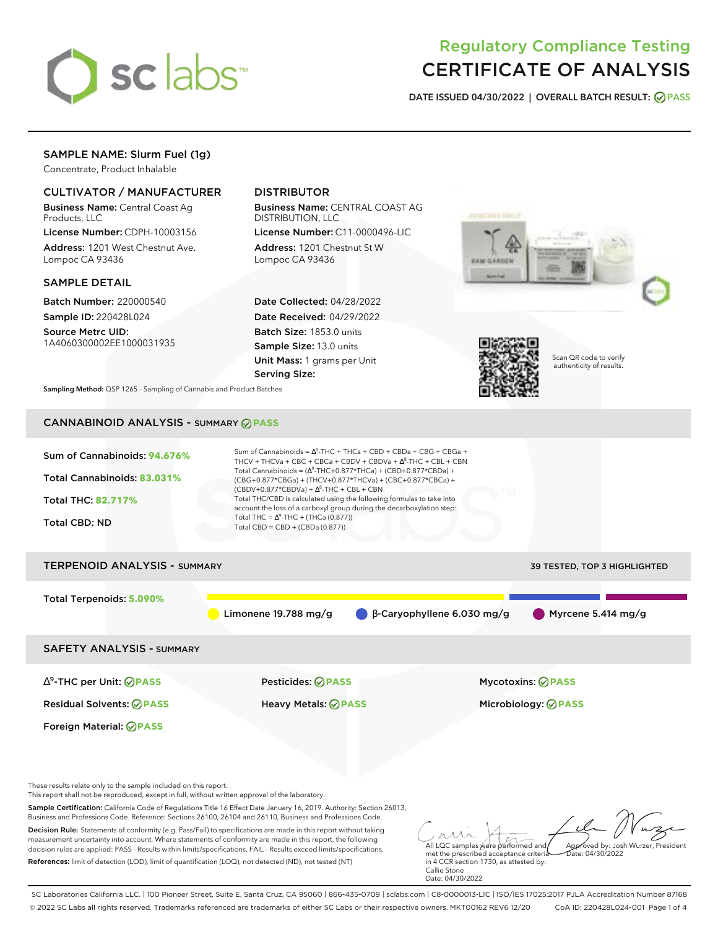

# Regulatory Compliance Testing CERTIFICATE OF ANALYSIS

**DATE ISSUED 04/30/2022 | OVERALL BATCH RESULT: PASS**

# SAMPLE NAME: Slurm Fuel (1g)

Concentrate, Product Inhalable

### CULTIVATOR / MANUFACTURER

Business Name: Central Coast Ag Products, LLC

License Number: CDPH-10003156 Address: 1201 West Chestnut Ave. Lompoc CA 93436

### SAMPLE DETAIL

Batch Number: 220000540 Sample ID: 220428L024

Source Metrc UID: 1A4060300002EE1000031935

# DISTRIBUTOR

Business Name: CENTRAL COAST AG DISTRIBUTION, LLC

License Number: C11-0000496-LIC Address: 1201 Chestnut St W Lompoc CA 93436

Date Collected: 04/28/2022 Date Received: 04/29/2022 Batch Size: 1853.0 units Sample Size: 13.0 units Unit Mass: 1 grams per Unit Serving Size:





Scan QR code to verify authenticity of results.

**Sampling Method:** QSP 1265 - Sampling of Cannabis and Product Batches

# CANNABINOID ANALYSIS - SUMMARY **PASS**



These results relate only to the sample included on this report.

This report shall not be reproduced, except in full, without written approval of the laboratory.

Sample Certification: California Code of Regulations Title 16 Effect Date January 16, 2019. Authority: Section 26013, Business and Professions Code. Reference: Sections 26100, 26104 and 26110, Business and Professions Code.

Decision Rule: Statements of conformity (e.g. Pass/Fail) to specifications are made in this report without taking measurement uncertainty into account. Where statements of conformity are made in this report, the following decision rules are applied: PASS - Results within limits/specifications, FAIL - Results exceed limits/specifications. References: limit of detection (LOD), limit of quantification (LOQ), not detected (ND), not tested (NT)

All LQC samples were performed and met the prescribed acceptance criteria Approved by: Josh Wurzer, President  $ate: 04/30/2022$ 

in 4 CCR section 1730, as attested by: Callie Stone Date: 04/30/2022

SC Laboratories California LLC. | 100 Pioneer Street, Suite E, Santa Cruz, CA 95060 | 866-435-0709 | sclabs.com | C8-0000013-LIC | ISO/IES 17025:2017 PJLA Accreditation Number 87168 © 2022 SC Labs all rights reserved. Trademarks referenced are trademarks of either SC Labs or their respective owners. MKT00162 REV6 12/20 CoA ID: 220428L024-001 Page 1 of 4